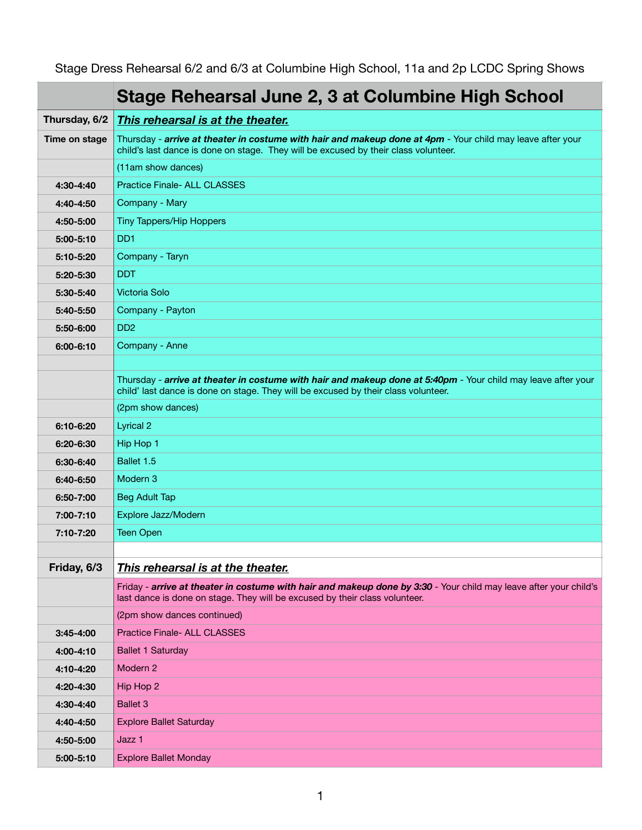Stage Dress Rehearsal 6/2 and 6/3 at Columbine High School, 11a and 2p LCDC Spring Shows

|               | Stage Rehearsal June 2, 3 at Columbine High School                                                                                                                                                  |
|---------------|-----------------------------------------------------------------------------------------------------------------------------------------------------------------------------------------------------|
| Thursday, 6/2 | This rehearsal is at the theater.                                                                                                                                                                   |
| Time on stage | Thursday - arrive at theater in costume with hair and makeup done at 4pm - Your child may leave after your<br>child's last dance is done on stage. They will be excused by their class volunteer.   |
|               | (11am show dances)                                                                                                                                                                                  |
| 4:30-4:40     | <b>Practice Finale- ALL CLASSES</b>                                                                                                                                                                 |
| 4:40-4:50     | Company - Mary                                                                                                                                                                                      |
| 4:50-5:00     | Tiny Tappers/Hip Hoppers                                                                                                                                                                            |
| $5:00 - 5:10$ | D <sub>D</sub> 1                                                                                                                                                                                    |
| 5:10-5:20     | Company - Taryn                                                                                                                                                                                     |
| 5:20-5:30     | <b>DDT</b>                                                                                                                                                                                          |
| 5:30-5:40     | Victoria Solo                                                                                                                                                                                       |
| 5:40-5:50     | Company - Payton                                                                                                                                                                                    |
| 5:50-6:00     | D <sub>D</sub> <sub>2</sub>                                                                                                                                                                         |
| $6:00 - 6:10$ | Company - Anne                                                                                                                                                                                      |
|               |                                                                                                                                                                                                     |
|               | Thursday - arrive at theater in costume with hair and makeup done at 5:40pm - Your child may leave after your<br>child' last dance is done on stage. They will be excused by their class volunteer. |
|               | (2pm show dances)                                                                                                                                                                                   |
| 6:10-6:20     | <b>Lyrical 2</b>                                                                                                                                                                                    |
| 6:20-6:30     | Hip Hop 1                                                                                                                                                                                           |
| 6:30-6:40     | Ballet 1.5                                                                                                                                                                                          |
| 6:40-6:50     | Modern 3                                                                                                                                                                                            |
| 6:50-7:00     | <b>Beg Adult Tap</b>                                                                                                                                                                                |
| 7:00-7:10     | Explore Jazz/Modern                                                                                                                                                                                 |
| 7:10-7:20     | <b>Teen Open</b>                                                                                                                                                                                    |
|               |                                                                                                                                                                                                     |
| Friday, 6/3   | This rehearsal is at the theater.                                                                                                                                                                   |
|               | Friday - arrive at theater in costume with hair and makeup done by 3:30 - Your child may leave after your child's<br>last dance is done on stage. They will be excused by their class volunteer.    |
|               | (2pm show dances continued)                                                                                                                                                                         |
| $3:45 - 4:00$ | <b>Practice Finale- ALL CLASSES</b>                                                                                                                                                                 |
| 4:00-4:10     | <b>Ballet 1 Saturday</b>                                                                                                                                                                            |
| 4:10-4:20     | Modern 2                                                                                                                                                                                            |
| 4:20-4:30     | Hip Hop 2                                                                                                                                                                                           |
| 4:30-4:40     | <b>Ballet 3</b>                                                                                                                                                                                     |
| 4:40-4:50     | <b>Explore Ballet Saturday</b>                                                                                                                                                                      |
| 4:50-5:00     | Jazz 1                                                                                                                                                                                              |
| 5:00-5:10     | <b>Explore Ballet Monday</b>                                                                                                                                                                        |